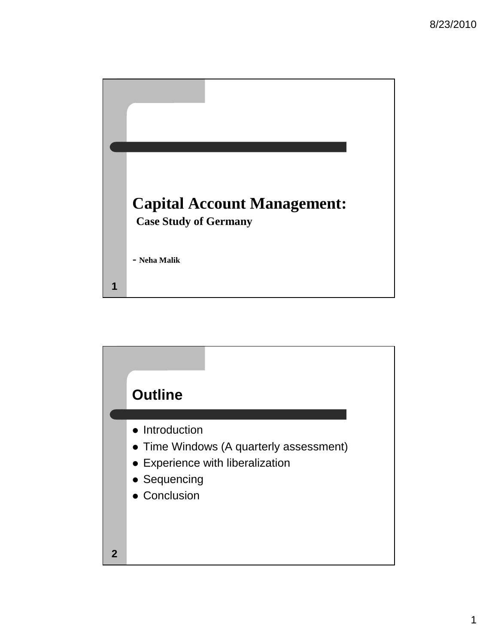

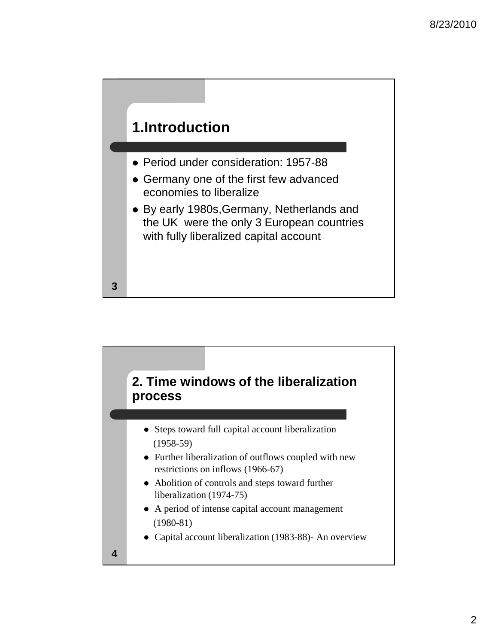

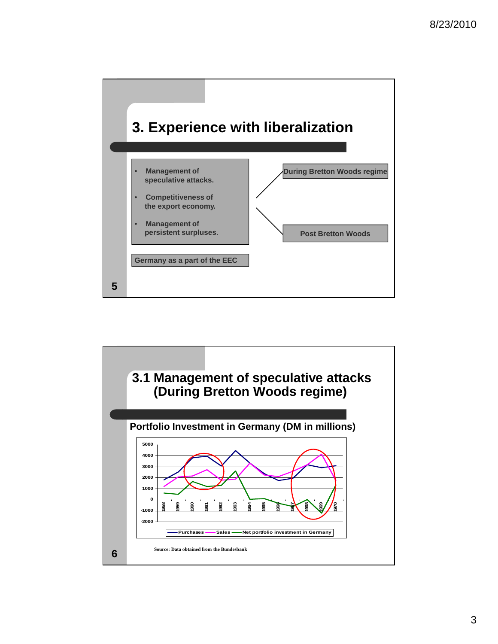

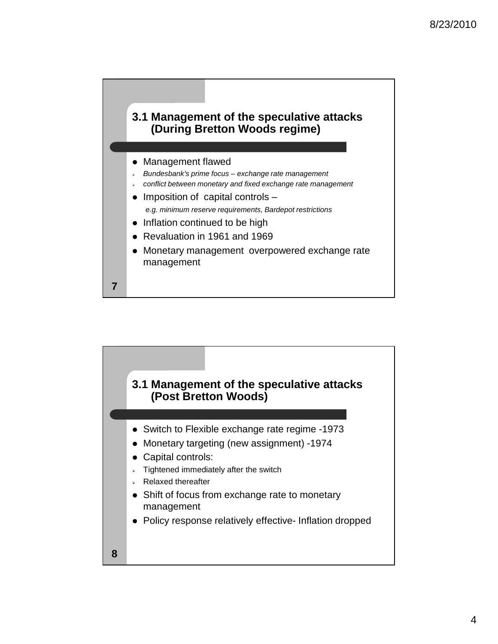## **3.1 Management of the speculative attacks (During Bretton Woods regime)**

## • Management flawed

- -Bundesbank's prime focus – exchange rate management
- conflict between monetary and fixed exchange rate management
- $\bullet$  Imposition of capital controls  $$ e.g. minimum reserve requirements, Bardepot restrictions
- Inflation continued to be high
- Revaluation in 1961 and 1969
- Monetary management overpowered exchange rate management

**7**

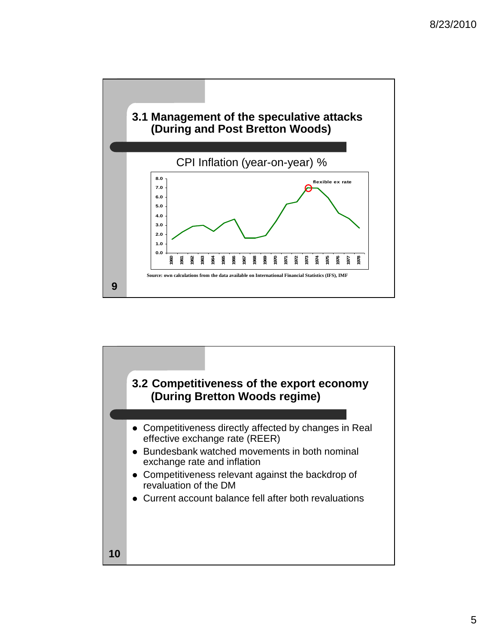

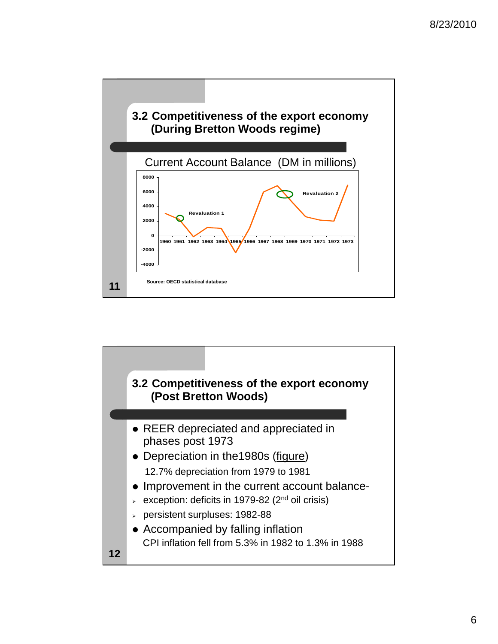

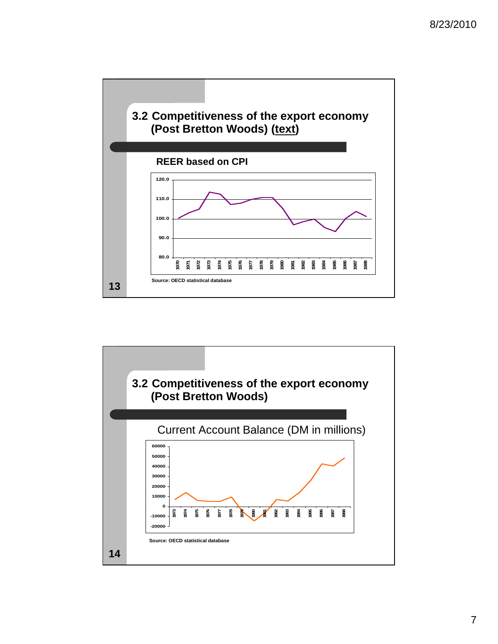

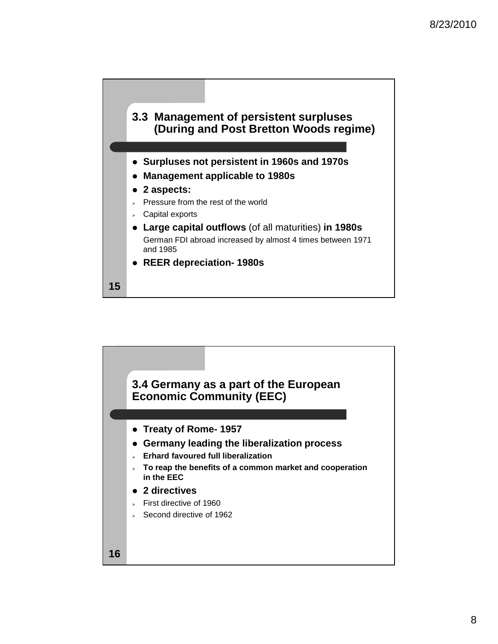



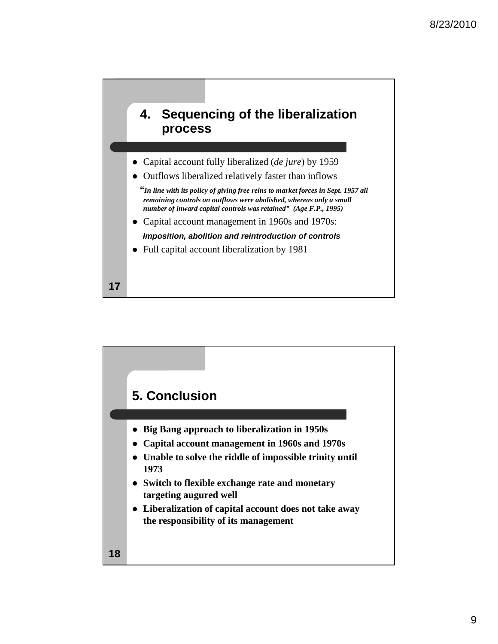